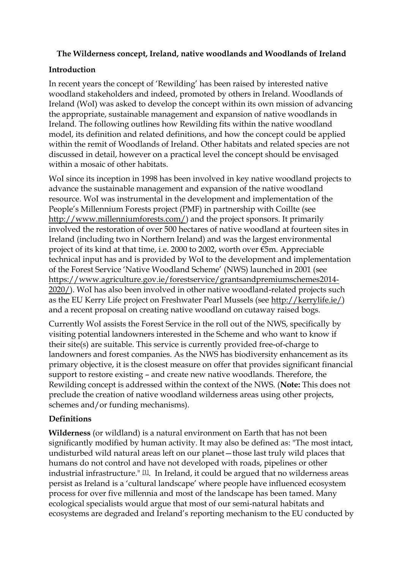### **The Wilderness concept, Ireland, native woodlands and Woodlands of Ireland**

## **Introduction**

In recent years the concept of 'Rewilding' has been raised by interested native woodland stakeholders and indeed, promoted by others in Ireland. Woodlands of Ireland (WoI) was asked to develop the concept within its own mission of advancing the appropriate, sustainable management and expansion of native woodlands in Ireland. The following outlines how Rewilding fits within the native woodland model, its definition and related definitions, and how the concept could be applied within the remit of Woodlands of Ireland. Other habitats and related species are not discussed in detail, however on a practical level the concept should be envisaged within a mosaic of other habitats.

WoI since its inception in 1998 has been involved in key native woodland projects to advance the sustainable management and expansion of the native woodland resource. WoI was instrumental in the development and implementation of the People's Millennium Forests project (PMF) in partnership with Coillte (see [http://www.millenniumforests.com/\)](http://www.millenniumforests.com/) and the project sponsors. It primarily involved the restoration of over 500 hectares of native woodland at fourteen sites in Ireland (including two in Northern Ireland) and was the largest environmental project of its kind at that time, i.e. 2000 to 2002, worth over €5m. Appreciable technical input has and is provided by WoI to the development and implementation of the Forest Service 'Native Woodland Scheme' (NWS) launched in 2001 (see [https://www.agriculture.gov.ie/forestservice/grantsandpremiumschemes2014-](https://www.agriculture.gov.ie/forestservice/grantsandpremiumschemes2014-2020/) [2020/\)](https://www.agriculture.gov.ie/forestservice/grantsandpremiumschemes2014-2020/). WoI has also been involved in other native woodland-related projects such as the EU Kerry Life project on Freshwater Pearl Mussels (see [http://kerrylife.ie/\)](http://kerrylife.ie/) and a recent proposal on creating native woodland on cutaway raised bogs.

Currently WoI assists the Forest Service in the roll out of the NWS, specifically by visiting potential landowners interested in the Scheme and who want to know if their site(s) are suitable. This service is currently provided free-of-charge to landowners and forest companies. As the NWS has biodiversity enhancement as its primary objective, it is the closest measure on offer that provides significant financial support to restore existing – and create new native woodlands. Therefore, the Rewilding concept is addressed within the context of the NWS. (**Note:** This does not preclude the creation of native woodland wilderness areas using other projects, schemes and/or funding mechanisms).

# **Definitions**

**Wilderness** (or wildland) is a [natural environment](https://en.wikipedia.org/wiki/Natural_environment) on [Earth](https://en.wikipedia.org/wiki/Earth) that has not been significantly modified by [human](https://en.wikipedia.org/wiki/Human) activity. It may also be defined as: "The most intact, undisturbed wild natural areas left on our planet—those last truly wild places that humans do not control and have not developed with roads, pipelines or other industrial infrastructure."  $[1]$ . In Ireland, it could be argued that no wilderness areas persist as Ireland is a 'cultural landscape' where people have influenced ecosystem process for over five millennia and most of the landscape has been tamed. Many ecological specialists would argue that most of our semi-natural habitats and ecosystems are degraded and Ireland's reporting mechanism to the EU conducted by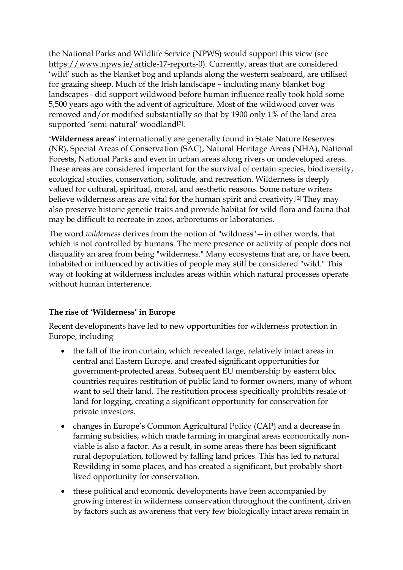the National Parks and Wildlife Service (NPWS) would support this view (see [https://www.npws.ie/article-17-reports-0\)](https://www.npws.ie/article-17-reports-0). Currently, areas that are considered 'wild' such as the blanket bog and uplands along the western seaboard, are utilised for grazing sheep. Much of the Irish landscape – including many blanket bog landscapes - did support wildwood before human influence really took hold some 5,500 years ago with the advent of agriculture. Most of the wildwood cover was removed and/or modified substantially so that by 1900 only 1% of the land area supported 'semi-natural' woodland<sup>[\[2\]](https://en.wikipedia.org/wiki/Wilderness#cite_note-1)</sup>.

'**[Wilderness areas](https://en.wikipedia.org/wiki/Wilderness_areas)'** internationally are generally found in State Nature Reserves (NR), Special Areas of Conservation (SAC), Natural Heritage Areas (NHA), National Forests, National Parks and even in urban areas along rivers or undeveloped areas. These areas are considered important for the survival of certain [species,](https://en.wikipedia.org/wiki/Species) [biodiversity,](https://en.wikipedia.org/wiki/Biodiversity) ecological studies, [conservation,](https://en.wikipedia.org/wiki/Conservation_(ethic)) solitude, and [recreation.](https://en.wikipedia.org/wiki/Recreation) Wilderness is deeply valued for cultural, spiritual, [moral,](https://en.wikipedia.org/wiki/Moral) and [aesthetic](https://en.wikipedia.org/wiki/Aesthetic) reasons. Some nature writers believe wilderness areas are vital for the human spirit and creativity.[\[2\]](https://en.wikipedia.org/wiki/Wilderness#cite_note-2) They may also preserve historic [genetic](https://en.wikipedia.org/wiki/Genetics) traits and provide habitat for wild [flora](https://en.wikipedia.org/wiki/Flora_(plants)) and [fauna](https://en.wikipedia.org/wiki/Fauna_(animals)) that may be difficult to recreate in [zoos,](https://en.wikipedia.org/wiki/Zoo) [arboretums](https://en.wikipedia.org/wiki/Arboretum) or [laboratories.](https://en.wikipedia.org/wiki/Laboratory)

The word *wilderness* derives from the notion of "wildness"—in other words, that which is not controlled by humans. The mere presence or activity of people does not disqualify an area from being "wilderness." Many ecosystems that are, or have been, inhabited or influenced by activities of people may still be considered "wild." This way of looking at wilderness includes areas within which [natural processes](https://en.wikipedia.org/wiki/Nature) operate without human interference.

### **The rise of 'Wilderness' in Europe**

Recent developments have led to new opportunities for wilderness protection in Europe, including

- the fall of the iron curtain, which revealed large, relatively intact areas in central and Eastern Europe, and created significant opportunities for government-protected areas. Subsequent EU membership by eastern bloc countries requires restitution of public land to former owners, many of whom want to sell their land. The restitution process specifically prohibits resale of land for logging, creating a significant opportunity for conservation for private investors.
- changes in Europe's Common Agricultural Policy (CAP) and a decrease in farming subsidies, which made farming in marginal areas economically nonviable is also a factor. As a result, in some areas there has been significant rural depopulation, followed by falling land prices. This has led to natural Rewilding in some places, and has created a significant, but probably shortlived opportunity for conservation.
- these political and economic developments have been accompanied by growing interest in wilderness conservation throughout the continent, driven by factors such as awareness that very few biologically intact areas remain in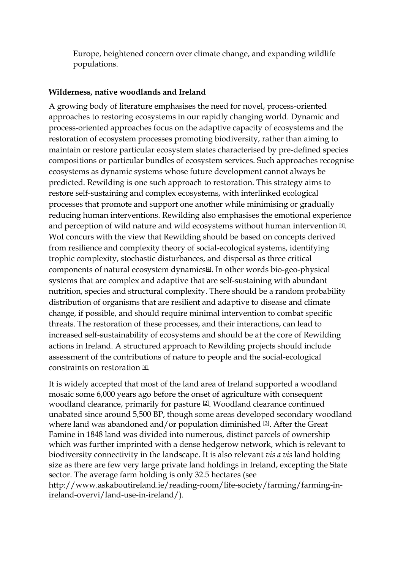Europe, heightened concern over climate change, and expanding wildlife populations.

### **Wilderness, native woodlands and Ireland**

A growing body of literature emphasises the need for novel, process-oriented approaches to restoring ecosystems in our rapidly changing world. Dynamic and process-oriented approaches focus on the adaptive capacity of ecosystems and the restoration of ecosystem processes promoting biodiversity, rather than aiming to maintain or restore particular ecosystem states characterised by pre-defined species compositions or particular bundles of ecosystem services. Such approaches recognise ecosystems as dynamic systems whose future development cannot always be predicted. Rewilding is one such approach to restoration. This strategy aims to restore self-sustaining and complex ecosystems, with interlinked ecological processes that promote and support one another while minimising or gradually reducing human interventions. Rewilding also emphasises the emotional experience and perception of wild nature and wild ecosystems without human intervention  $\mathfrak{A}$ . WoI concurs with the view that Rewilding should be based on concepts derived from resilience and complexity theory of social-ecological systems, identifying trophic complexity, stochastic disturbances, and dispersal as three critical components of natural ecosystem dynamics[\[4\]](https://en.wikipedia.org/wiki/Wilderness#cite_note-1) . In other words bio-geo-physical systems that are complex and adaptive that are self-sustaining with abundant nutrition, species and structural complexity. There should be a random probability distribution of organisms that are resilient and adaptive to disease and climate change, if possible, and should require minimal intervention to combat specific threats. The restoration of these processes, and their interactions, can lead to increased self-sustainability of ecosystems and should be at the core of Rewilding actions in Ireland. A structured approach to Rewilding projects should include assessment of the contributions of nature to people and the social-ecological constraints on restoration [\[4\]](https://en.wikipedia.org/wiki/Wilderness#cite_note-1) .

It is widely accepted that most of the land area of Ireland supported a woodland mosaic some 6,000 years ago before the onset of agriculture with consequent woodland clearance, primarily for pasture <sup>[\[2\]](https://en.wikipedia.org/wiki/Wilderness#cite_note-1)</sup>. Woodland clearance continued unabated since around 5,500 BP, though some areas developed secondary woodland where land was abandoned and/or population diminished  $[3]$ . After the Great Famine in 1848 land was divided into numerous, distinct parcels of ownership which was further imprinted with a dense hedgerow network, which is relevant to biodiversity connectivity in the landscape. It is also relevant *vis a vis* land holding size as there are few very large private land holdings in Ireland, excepting the State sector. The average farm holding is only 32.5 hectares (see [http://www.askaboutireland.ie/reading-room/life-society/farming/farming-in](http://www.askaboutireland.ie/reading-room/life-society/farming/farming-in-ireland-overvi/land-use-in-ireland/)[ireland-overvi/land-use-in-ireland/\)](http://www.askaboutireland.ie/reading-room/life-society/farming/farming-in-ireland-overvi/land-use-in-ireland/).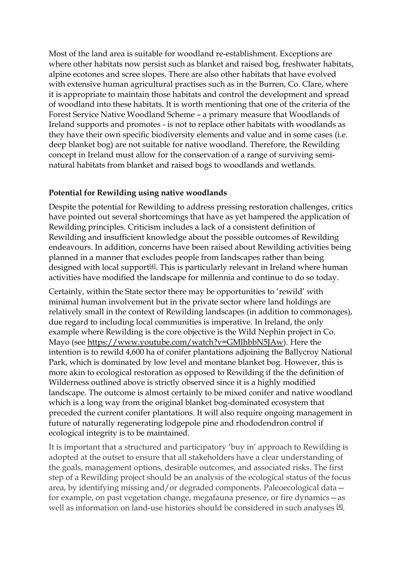Most of the land area is suitable for woodland re-establishment. Exceptions are where other habitats now persist such as blanket and raised bog, freshwater habitats, alpine ecotones and scree slopes. There are also other habitats that have evolved with extensive human agricultural practises such as in the Burren, Co. Clare, where it is appropriate to maintain those habitats and control the development and spread of woodland into these habitats. It is worth mentioning that one of the criteria of the Forest Service Native Woodland Scheme – a primary measure that Woodlands of Ireland supports and promotes - is not to replace other habitats with woodlands as they have their own specific biodiversity elements and value and in some cases (i.e. deep blanket bog) are not suitable for native woodland. Therefore, the Rewilding concept in Ireland must allow for the conservation of a range of surviving seminatural habitats from blanket and raised bogs to woodlands and wetlands.

### **Potential for Rewilding using native woodlands**

Despite the potential for Rewilding to address pressing restoration challenges, critics have pointed out several shortcomings that have as yet hampered the application of Rewilding principles. Criticism includes a lack of a consistent definition of Rewilding and insufficient knowledge about the possible outcomes of Rewilding endeavours. In addition, concerns have been raised about Rewilding activities being planned in a manner that excludes people from landscapes rather than being designed with local support<sup>[\[4\]](https://en.wikipedia.org/wiki/Wilderness#cite_note-1)</sup>. This is particularly relevant in Ireland where human activities have modified the landscape for millennia and continue to do so today.

Certainly, within the State sector there may be opportunities to 'rewild' with minimal human involvement but in the private sector where land holdings are relatively small in the context of Rewilding landscapes (in addition to commonages), due regard to including local communities is imperative. In Ireland, the only example where Rewilding is the core objective is the Wild Nephin project in Co. Mayo (see [https://www.youtube.com/watch?v=GMlhbbN5JAw\)](https://www.youtube.com/watch?v=GMlhbbN5JAw). Here the intention is to rewild 4,600 ha of conifer plantations adjoining the Ballycroy National Park, which is dominated by low level and montane blanket bog. However, this is more akin to ecological restoration as opposed to Rewilding if the the definition of Wilderness outlined above is strictly observed since it is a highly modified landscape. The outcome is almost certainly to be mixed conifer and native woodland which is a long way from the original blanket bog-dominated ecosystem that preceded the current conifer plantations. It will also require ongoing management in future of naturally regenerating lodgepole pine and rhododendron control if ecological integrity is to be maintained.

It is important that a structured and participatory 'buy in' approach to Rewilding is adopted at the outset to ensure that all stakeholders have a clear understanding of the goals, management options, desirable outcomes, and associated risks. The first step of a Rewilding project should be an analysis of the ecological status of the focus area, by identifying missing and/or degraded components. Paleoecological data for example, on past vegetation change, megafauna presence, or fire dynamics—as well as information on land-use histories should be considered in such analyses  $[4]$ .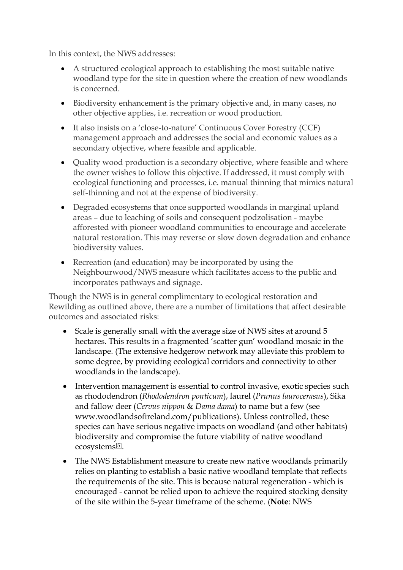In this context, the NWS addresses:

- A structured ecological approach to establishing the most suitable native woodland type for the site in question where the creation of new woodlands is concerned.
- Biodiversity enhancement is the primary objective and, in many cases, no other objective applies, i.e. recreation or wood production.
- It also insists on a 'close-to-nature' Continuous Cover Forestry (CCF) management approach and addresses the social and economic values as a secondary objective, where feasible and applicable.
- Quality wood production is a secondary objective, where feasible and where the owner wishes to follow this objective. If addressed, it must comply with ecological functioning and processes, i.e. manual thinning that mimics natural self-thinning and not at the expense of biodiversity.
- Degraded ecosystems that once supported woodlands in marginal upland areas – due to leaching of soils and consequent podzolisation - maybe afforested with pioneer woodland communities to encourage and accelerate natural restoration. This may reverse or slow down degradation and enhance biodiversity values.
- Recreation (and education) may be incorporated by using the Neighbourwood/NWS measure which facilitates access to the public and incorporates pathways and signage.

Though the NWS is in general complimentary to ecological restoration and Rewilding as outlined above, there are a number of limitations that affect desirable outcomes and associated risks:

- Scale is generally small with the average size of NWS sites at around 5 hectares. This results in a fragmented 'scatter gun' woodland mosaic in the landscape. (The extensive hedgerow network may alleviate this problem to some degree, by providing ecological corridors and connectivity to other woodlands in the landscape).
- Intervention management is essential to control invasive, exotic species such as rhododendron (*Rhododendron ponticum*), laurel (*Prunus laurocerasus*), Sika and fallow deer (*Cervus nippon* & *Dama dama*) to name but a few (see www.woodlandsofireland.com/publications). Unless controlled, these species can have serious negative impacts on woodland (and other habitats) biodiversity and compromise the future viability of native woodland ecosystems[\[5\]](https://en.wikipedia.org/wiki/Wilderness#cite_note-1).
- The NWS Establishment measure to create new native woodlands primarily relies on planting to establish a basic native woodland template that reflects the requirements of the site. This is because natural regeneration - which is encouraged - cannot be relied upon to achieve the required stocking density of the site within the 5-year timeframe of the scheme. (**Note**: NWS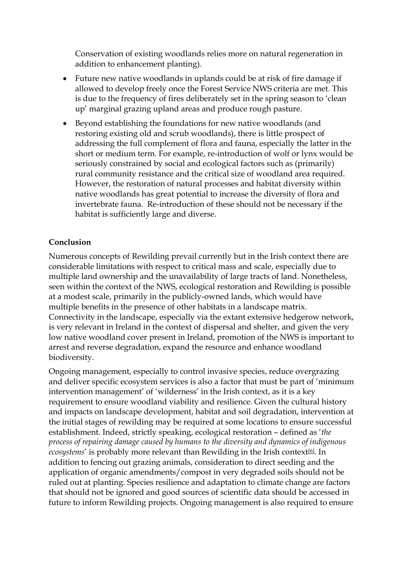Conservation of existing woodlands relies more on natural regeneration in addition to enhancement planting).

- Future new native woodlands in uplands could be at risk of fire damage if allowed to develop freely once the Forest Service NWS criteria are met. This is due to the frequency of fires deliberately set in the spring season to 'clean up' marginal grazing upland areas and produce rough pasture.
- Beyond establishing the foundations for new native woodlands (and restoring existing old and scrub woodlands), there is little prospect of addressing the full complement of flora and fauna, especially the latter in the short or medium term. For example, re-introduction of wolf or lynx would be seriously constrained by social and ecological factors such as (primarily) rural community resistance and the critical size of woodland area required. However, the restoration of natural processes and habitat diversity within native woodlands has great potential to increase the diversity of flora and invertebrate fauna. Re-introduction of these should not be necessary if the habitat is sufficiently large and diverse.

### **Conclusion**

Numerous concepts of Rewilding prevail currently but in the Irish context there are considerable limitations with respect to critical mass and scale, especially due to multiple land ownership and the unavailability of large tracts of land. Nonetheless, seen within the context of the NWS, ecological restoration and Rewilding is possible at a modest scale, primarily in the publicly-owned lands, which would have multiple benefits in the presence of other habitats in a landscape matrix. Connectivity in the landscape, especially via the extant extensive hedgerow network, is very relevant in Ireland in the context of dispersal and shelter, and given the very low native woodland cover present in Ireland, promotion of the NWS is important to arrest and reverse degradation, expand the resource and enhance woodland biodiversity.

Ongoing management, especially to control invasive species, reduce overgrazing and deliver specific ecosystem services is also a factor that must be part of 'minimum intervention management' of 'wilderness' in the Irish context, as it is a key requirement to ensure woodland viability and resilience. Given the cultural history and impacts on landscape development, habitat and soil degradation, intervention at the initial stages of rewilding may be required at some locations to ensure successful establishment. Indeed, strictly speaking, ecological restoration – defined as '*the process of repairing damage caused by humans to the diversity and dynamics of indigenous*  ecosystems' is probably more relevant than Rewilding in the Irish context<sup>[\[6\]](https://en.wikipedia.org/wiki/Wilderness#cite_note-1)</sup>. In addition to fencing out grazing animals, consideration to direct seeding and the application of organic amendments/compost in very degraded soils should not be ruled out at planting. Species resilience and adaptation to climate change are factors that should not be ignored and good sources of scientific data should be accessed in future to inform Rewilding projects. Ongoing management is also required to ensure